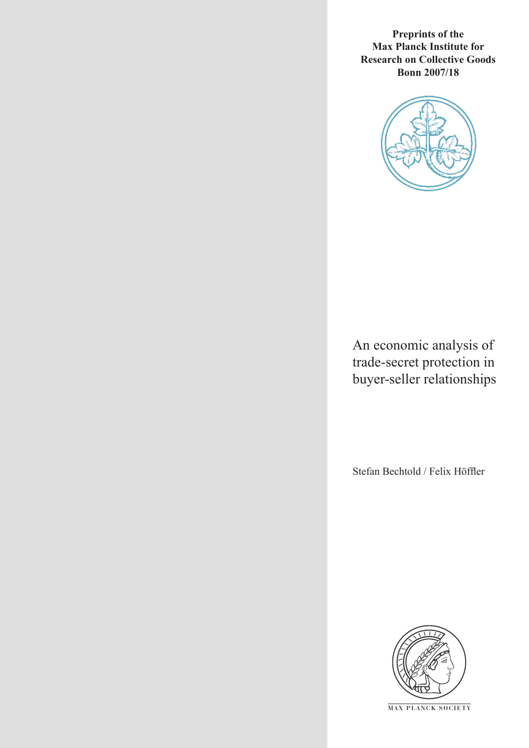**Preprints of the Max Planck Institute for Research on Collective Goods Bonn 2007/18**



An economic analysis of trade-secret protection in buyer-seller relationships

Stefan Bechtold / Felix Höffler



**M AX P L A N C K S O C I E T Y**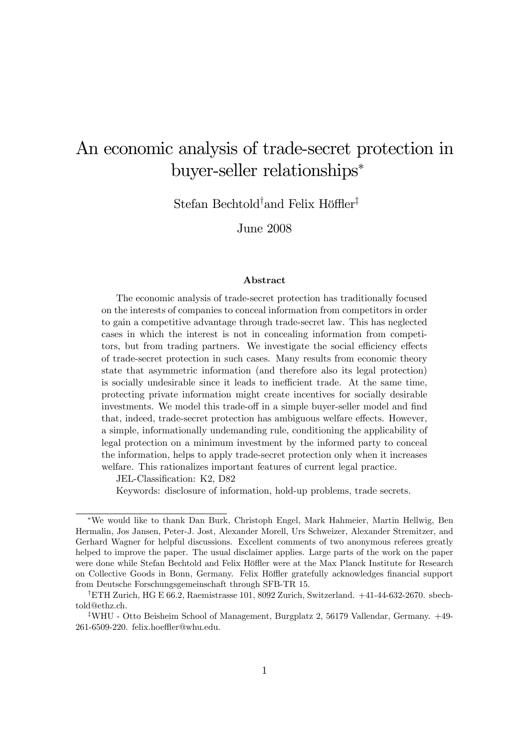# An economic analysis of trade-secret protection in buyer-seller relationships

Stefan Bechtold<sup>†</sup>and Felix Höffler<sup>‡</sup>

June 2008

#### Abstract

The economic analysis of trade-secret protection has traditionally focused on the interests of companies to conceal information from competitors in order to gain a competitive advantage through trade-secret law. This has neglected cases in which the interest is not in concealing information from competitors, but from trading partners. We investigate the social efficiency effects of trade-secret protection in such cases. Many results from economic theory state that asymmetric information (and therefore also its legal protection) is socially undesirable since it leads to inefficient trade. At the same time, protecting private information might create incentives for socially desirable investments. We model this trade-off in a simple buyer-seller model and find that, indeed, trade-secret protection has ambiguous welfare effects. However, a simple, informationally undemanding rule, conditioning the applicability of legal protection on a minimum investment by the informed party to conceal the information, helps to apply trade-secret protection only when it increases welfare. This rationalizes important features of current legal practice.

JEL-Classification: K2, D82

Keywords: disclosure of information, hold-up problems, trade secrets.

We would like to thank Dan Burk, Christoph Engel, Mark Hahmeier, Martin Hellwig, Ben Hermalin, Jos Jansen, Peter-J. Jost, Alexander Morell, Urs Schweizer, Alexander Stremitzer, and Gerhard Wagner for helpful discussions. Excellent comments of two anonymous referees greatly helped to improve the paper. The usual disclaimer applies. Large parts of the work on the paper were done while Stefan Bechtold and Felix Höffler were at the Max Planck Institute for Research on Collective Goods in Bonn, Germany. Felix Höffler gratefully acknowledges financial support from Deutsche Forschungsgemeinschaft through SFB-TR 15.

yETH Zurich, HG E 66.2, Raemistrasse 101, 8092 Zurich, Switzerland. +41-44-632-2670. sbechtold@ethz.ch.

<sup>z</sup>WHU - Otto Beisheim School of Management, Burgplatz 2, 56179 Vallendar, Germany. +49- 261-6509-220. felix.hoeffler@whu.edu.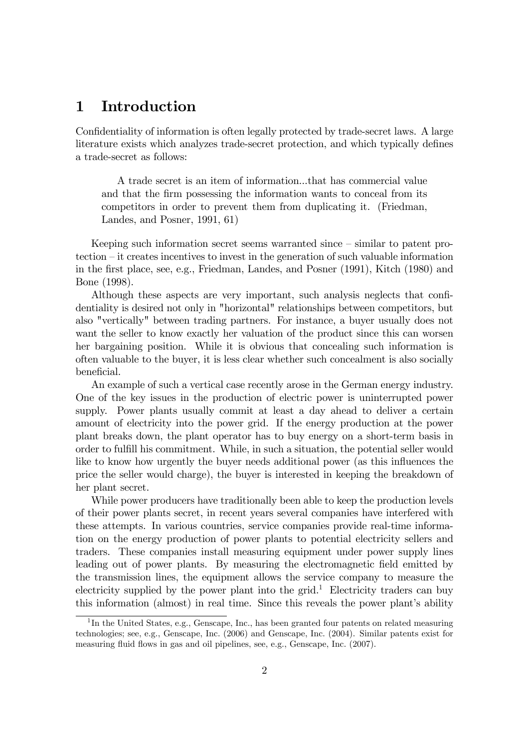# 1 Introduction

Confidentiality of information is often legally protected by trade-secret laws. A large literature exists which analyzes trade-secret protection, and which typically defines a trade-secret as follows:

A trade secret is an item of information...that has commercial value and that the firm possessing the information wants to conceal from its competitors in order to prevent them from duplicating it. (Friedman, Landes, and Posner, 1991, 61)

Keeping such information secret seems warranted since  $-\sin\theta$  to patent pro $t_{\text{e}}$  tection  $\overline{-}$  it creates incentives to invest in the generation of such valuable information in the Örst place, see, e.g., Friedman, Landes, and Posner (1991), Kitch (1980) and Bone (1998).

Although these aspects are very important, such analysis neglects that confidentiality is desired not only in "horizontal" relationships between competitors, but also "vertically" between trading partners. For instance, a buyer usually does not want the seller to know exactly her valuation of the product since this can worsen her bargaining position. While it is obvious that concealing such information is often valuable to the buyer, it is less clear whether such concealment is also socially beneficial.

An example of such a vertical case recently arose in the German energy industry. One of the key issues in the production of electric power is uninterrupted power supply. Power plants usually commit at least a day ahead to deliver a certain amount of electricity into the power grid. If the energy production at the power plant breaks down, the plant operator has to buy energy on a short-term basis in order to fulfill his commitment. While, in such a situation, the potential seller would like to know how urgently the buyer needs additional power (as this influences the price the seller would charge), the buyer is interested in keeping the breakdown of her plant secret.

While power producers have traditionally been able to keep the production levels of their power plants secret, in recent years several companies have interfered with these attempts. In various countries, service companies provide real-time information on the energy production of power plants to potential electricity sellers and traders. These companies install measuring equipment under power supply lines leading out of power plants. By measuring the electromagnetic field emitted by the transmission lines, the equipment allows the service company to measure the electricity supplied by the power plant into the grid.<sup>1</sup> Electricity traders can buy this information (almost) in real time. Since this reveals the power plant's ability

<sup>&</sup>lt;sup>1</sup>In the United States, e.g., Genscape, Inc., has been granted four patents on related measuring technologies; see, e.g., Genscape, Inc. (2006) and Genscape, Inc. (2004). Similar patents exist for measuring fluid flows in gas and oil pipelines, see, e.g., Genscape, Inc. (2007).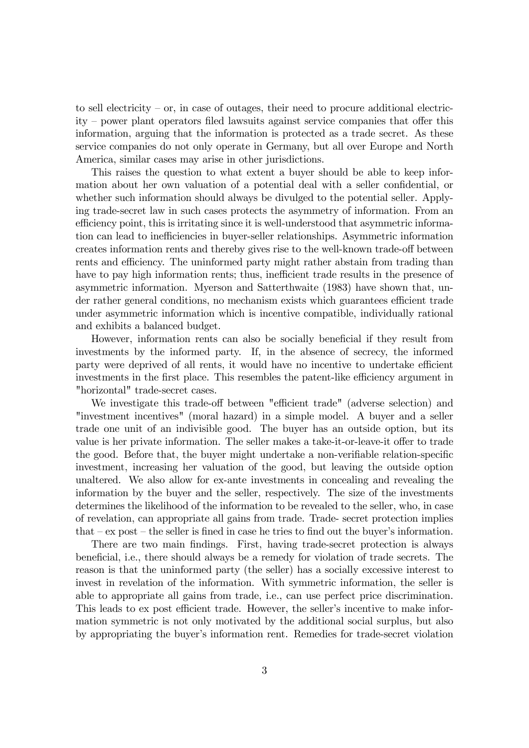to sell electricity  $-$  or, in case of outages, their need to procure additional electricity  $-$  power plant operators filed lawsuits against service companies that offer this information, arguing that the information is protected as a trade secret. As these service companies do not only operate in Germany, but all over Europe and North America, similar cases may arise in other jurisdictions.

This raises the question to what extent a buyer should be able to keep information about her own valuation of a potential deal with a seller confidential, or whether such information should always be divulged to the potential seller. Applying trade-secret law in such cases protects the asymmetry of information. From an efficiency point, this is irritating since it is well-understood that asymmetric information can lead to inefficiencies in buyer-seller relationships. Asymmetric information creates information rents and thereby gives rise to the well-known trade-off between rents and efficiency. The uninformed party might rather abstain from trading than have to pay high information rents; thus, inefficient trade results in the presence of asymmetric information. Myerson and Satterthwaite (1983) have shown that, under rather general conditions, no mechanism exists which guarantees efficient trade under asymmetric information which is incentive compatible, individually rational and exhibits a balanced budget.

However, information rents can also be socially beneficial if they result from investments by the informed party. If, in the absence of secrecy, the informed party were deprived of all rents, it would have no incentive to undertake efficient investments in the first place. This resembles the patent-like efficiency argument in "horizontal" trade-secret cases.

We investigate this trade-off between "efficient trade" (adverse selection) and "investment incentives" (moral hazard) in a simple model. A buyer and a seller trade one unit of an indivisible good. The buyer has an outside option, but its value is her private information. The seller makes a take-it-or-leave-it offer to trade the good. Before that, the buyer might undertake a non-verifiable relation-specific investment, increasing her valuation of the good, but leaving the outside option unaltered. We also allow for ex-ante investments in concealing and revealing the information by the buyer and the seller, respectively. The size of the investments determines the likelihood of the information to be revealed to the seller, who, in case of revelation, can appropriate all gains from trade. Trade- secret protection implies that  $-\text{ex post}$  – the seller is fined in case he tries to find out the buyer's information.

There are two main findings. First, having trade-secret protection is always beneficial, i.e., there should always be a remedy for violation of trade secrets. The reason is that the uninformed party (the seller) has a socially excessive interest to invest in revelation of the information. With symmetric information, the seller is able to appropriate all gains from trade, i.e., can use perfect price discrimination. This leads to ex post efficient trade. However, the seller's incentive to make information symmetric is not only motivated by the additional social surplus, but also by appropriating the buyer's information rent. Remedies for trade-secret violation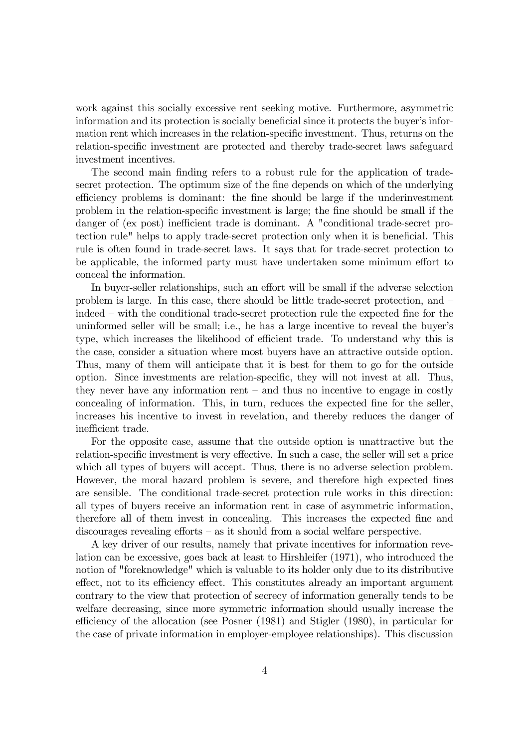work against this socially excessive rent seeking motive. Furthermore, asymmetric information and its protection is socially beneficial since it protects the buyer's information rent which increases in the relation-specific investment. Thus, returns on the relation-specific investment are protected and thereby trade-secret laws safeguard investment incentives.

The second main finding refers to a robust rule for the application of tradesecret protection. The optimum size of the fine depends on which of the underlying efficiency problems is dominant: the fine should be large if the underinvestment problem in the relation-specific investment is large; the fine should be small if the danger of (ex post) inefficient trade is dominant. A "conditional trade-secret protection rule" helps to apply trade-secret protection only when it is beneficial. This rule is often found in trade-secret laws. It says that for trade-secret protection to be applicable, the informed party must have undertaken some minimum effort to conceal the information.

In buyer-seller relationships, such an effort will be small if the adverse selection problem is large. In this case, there should be little trade-secret protection, and  $\overline{\phantom{a}}$ indeed – with the conditional trade-secret protection rule the expected fine for the uninformed seller will be small; i.e., he has a large incentive to reveal the buyer's type, which increases the likelihood of efficient trade. To understand why this is the case, consider a situation where most buyers have an attractive outside option. Thus, many of them will anticipate that it is best for them to go for the outside option. Since investments are relation-specific, they will not invest at all. Thus, they never have any information rent  $-$  and thus no incentive to engage in costly concealing of information. This, in turn, reduces the expected fine for the seller, increases his incentive to invest in revelation, and thereby reduces the danger of inefficient trade.

For the opposite case, assume that the outside option is unattractive but the relation-specific investment is very effective. In such a case, the seller will set a price which all types of buyers will accept. Thus, there is no adverse selection problem. However, the moral hazard problem is severe, and therefore high expected fines are sensible. The conditional trade-secret protection rule works in this direction: all types of buyers receive an information rent in case of asymmetric information, therefore all of them invest in concealing. This increases the expected fine and  $disconrages revealing efforts – as it should from a social welfare perspective.$ 

A key driver of our results, namely that private incentives for information revelation can be excessive, goes back at least to Hirshleifer (1971), who introduced the notion of "foreknowledge" which is valuable to its holder only due to its distributive effect, not to its efficiency effect. This constitutes already an important argument contrary to the view that protection of secrecy of information generally tends to be welfare decreasing, since more symmetric information should usually increase the efficiency of the allocation (see Posner (1981) and Stigler (1980), in particular for the case of private information in employer-employee relationships). This discussion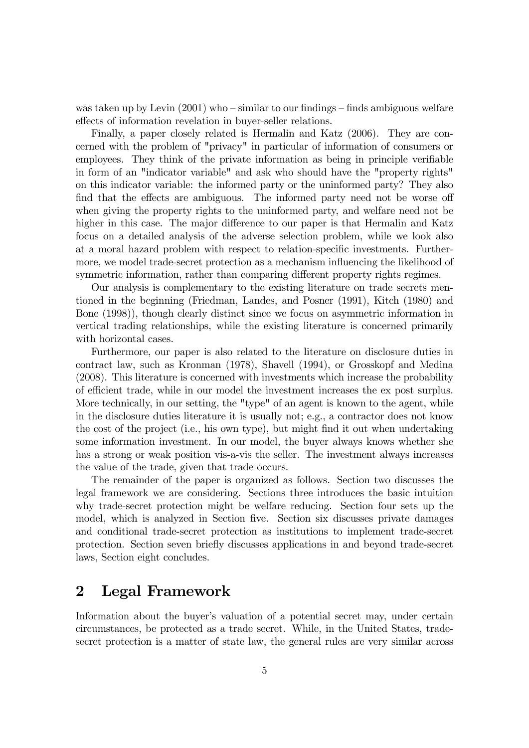was taken up by Levin  $(2001)$  who  $-\sinilar$  to our findings  $-\text{finds}$  ambiguous welfare effects of information revelation in buyer-seller relations.

Finally, a paper closely related is Hermalin and Katz (2006). They are concerned with the problem of "privacy" in particular of information of consumers or employees. They think of the private information as being in principle verifiable in form of an "indicator variable" and ask who should have the "property rights" on this indicator variable: the informed party or the uninformed party? They also find that the effects are ambiguous. The informed party need not be worse of when giving the property rights to the uninformed party, and welfare need not be higher in this case. The major difference to our paper is that Hermalin and Katz focus on a detailed analysis of the adverse selection problem, while we look also at a moral hazard problem with respect to relation-specific investments. Furthermore, we model trade-secret protection as a mechanism influencing the likelihood of symmetric information, rather than comparing different property rights regimes.

Our analysis is complementary to the existing literature on trade secrets mentioned in the beginning (Friedman, Landes, and Posner (1991), Kitch (1980) and Bone (1998)), though clearly distinct since we focus on asymmetric information in vertical trading relationships, while the existing literature is concerned primarily with horizontal cases.

Furthermore, our paper is also related to the literature on disclosure duties in contract law, such as Kronman (1978), Shavell (1994), or Grosskopf and Medina (2008). This literature is concerned with investments which increase the probability of efficient trade, while in our model the investment increases the ex post surplus. More technically, in our setting, the "type" of an agent is known to the agent, while in the disclosure duties literature it is usually not; e.g., a contractor does not know the cost of the project (i.e., his own type), but might find it out when undertaking some information investment. In our model, the buyer always knows whether she has a strong or weak position vis-a-vis the seller. The investment always increases the value of the trade, given that trade occurs.

The remainder of the paper is organized as follows. Section two discusses the legal framework we are considering. Sections three introduces the basic intuition why trade-secret protection might be welfare reducing. Section four sets up the model, which is analyzed in Section five. Section six discusses private damages and conditional trade-secret protection as institutions to implement trade-secret protection. Section seven brieáy discusses applications in and beyond trade-secret laws, Section eight concludes.

# 2 Legal Framework

Information about the buyer's valuation of a potential secret may, under certain circumstances, be protected as a trade secret. While, in the United States, tradesecret protection is a matter of state law, the general rules are very similar across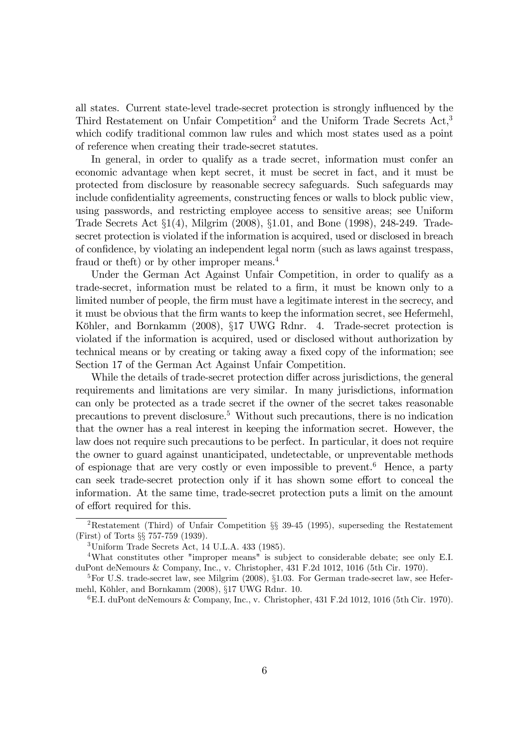all states. Current state-level trade-secret protection is strongly ináuenced by the Third Restatement on Unfair Competition<sup>2</sup> and the Uniform Trade Secrets Act,<sup>3</sup> which codify traditional common law rules and which most states used as a point of reference when creating their trade-secret statutes.

In general, in order to qualify as a trade secret, information must confer an economic advantage when kept secret, it must be secret in fact, and it must be protected from disclosure by reasonable secrecy safeguards. Such safeguards may include confidentiality agreements, constructing fences or walls to block public view, using passwords, and restricting employee access to sensitive areas; see Uniform Trade Secrets Act ß1(4), Milgrim (2008), ß1.01, and Bone (1998), 248-249. Tradesecret protection is violated if the information is acquired, used or disclosed in breach of conÖdence, by violating an independent legal norm (such as laws against trespass, fraud or the ft) or by other improper means.<sup>4</sup>

Under the German Act Against Unfair Competition, in order to qualify as a trade-secret, information must be related to a firm, it must be known only to a limited number of people, the firm must have a legitimate interest in the secrecy, and it must be obvious that the Örm wants to keep the information secret, see Hefermehl, Köhler, and Bornkamm (2008), §17 UWG Rdnr. 4. Trade-secret protection is violated if the information is acquired, used or disclosed without authorization by technical means or by creating or taking away a fixed copy of the information; see Section 17 of the German Act Against Unfair Competition.

While the details of trade-secret protection differ across jurisdictions, the general requirements and limitations are very similar. In many jurisdictions, information can only be protected as a trade secret if the owner of the secret takes reasonable precautions to prevent disclosure.<sup>5</sup> Without such precautions, there is no indication that the owner has a real interest in keeping the information secret. However, the law does not require such precautions to be perfect. In particular, it does not require the owner to guard against unanticipated, undetectable, or unpreventable methods of espionage that are very costly or even impossible to prevent.<sup>6</sup> Hence, a party can seek trade-secret protection only if it has shown some effort to conceal the information. At the same time, trade-secret protection puts a limit on the amount of effort required for this.

<sup>&</sup>lt;sup>2</sup>Restatement (Third) of Unfair Competition §§ 39-45 (1995), superseding the Restatement (First) of Torts ßß 757-759 (1939).

<sup>3</sup>Uniform Trade Secrets Act, 14 U.L.A. 433 (1985).

<sup>4</sup>What constitutes other "improper means" is subject to considerable debate; see only E.I. duPont deNemours & Company, Inc., v. Christopher, 431 F.2d 1012, 1016 (5th Cir. 1970).

<sup>&</sup>lt;sup>5</sup>For U.S. trade-secret law, see Milgrim  $(2008)$ ,  $\S1.03$ . For German trade-secret law, see Hefermehl, Köhler, and Bornkamm (2008), §17 UWG Rdnr. 10.

 ${}^{6}$ E.I. duPont deNemours & Company, Inc., v. Christopher, 431 F.2d 1012, 1016 (5th Cir. 1970).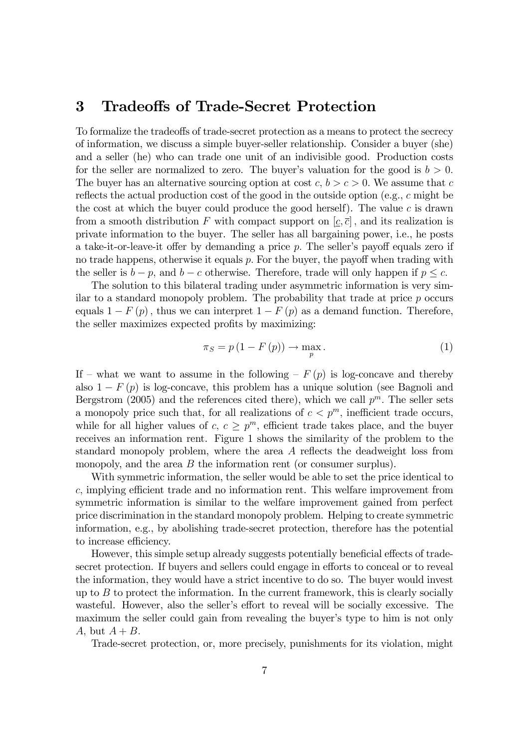### 3 Tradeo§s of Trade-Secret Protection

To formalize the tradeoffs of trade-secret protection as a means to protect the secrecy of information, we discuss a simple buyer-seller relationship. Consider a buyer (she) and a seller (he) who can trade one unit of an indivisible good. Production costs for the seller are normalized to zero. The buyer's valuation for the good is  $b > 0$ . The buyer has an alternative sourcing option at cost  $c, b > c > 0$ . We assume that c reflects the actual production cost of the good in the outside option (e.g.,  $c$  might be the cost at which the buyer could produce the good herself). The value  $c$  is drawn from a smooth distribution F with compact support on  $[c, \bar{c}]$ , and its realization is private information to the buyer. The seller has all bargaining power, i.e., he posts a take-it-or-leave-it offer by demanding a price  $p$ . The seller's payoff equals zero if no trade happens, otherwise it equals  $p$ . For the buyer, the payoff when trading with the seller is  $b - p$ , and  $b - c$  otherwise. Therefore, trade will only happen if  $p \leq c$ .

The solution to this bilateral trading under asymmetric information is very similar to a standard monopoly problem. The probability that trade at price  $p$  occurs equals  $1 - F(p)$ , thus we can interpret  $1 - F(p)$  as a demand function. Therefore, the seller maximizes expected profits by maximizing:

$$
\pi_S = p\left(1 - F\left(p\right)\right) \to \max_p \tag{1}
$$

If  $-$  what we want to assume in the following  $-F(p)$  is log-concave and thereby also  $1 - F(p)$  is log-concave, this problem has a unique solution (see Bagnoli and Bergstrom (2005) and the references cited there), which we call  $p^m$ . The seller sets a monopoly price such that, for all realizations of  $c < p<sup>m</sup>$ , inefficient trade occurs, while for all higher values of  $c, c \geq p^m$ , efficient trade takes place, and the buyer receives an information rent. Figure 1 shows the similarity of the problem to the standard monopoly problem, where the area  $A$  reflects the deadweight loss from monopoly, and the area  $B$  the information rent (or consumer surplus).

With symmetric information, the seller would be able to set the price identical to  $c$ , implying efficient trade and no information rent. This welfare improvement from symmetric information is similar to the welfare improvement gained from perfect price discrimination in the standard monopoly problem. Helping to create symmetric information, e.g., by abolishing trade-secret protection, therefore has the potential to increase efficiency.

However, this simple setup already suggests potentially beneficial effects of tradesecret protection. If buyers and sellers could engage in efforts to conceal or to reveal the information, they would have a strict incentive to do so. The buyer would invest up to  $B$  to protect the information. In the current framework, this is clearly socially wasteful. However, also the seller's effort to reveal will be socially excessive. The maximum the seller could gain from revealing the buyer's type to him is not only A, but  $A + B$ .

Trade-secret protection, or, more precisely, punishments for its violation, might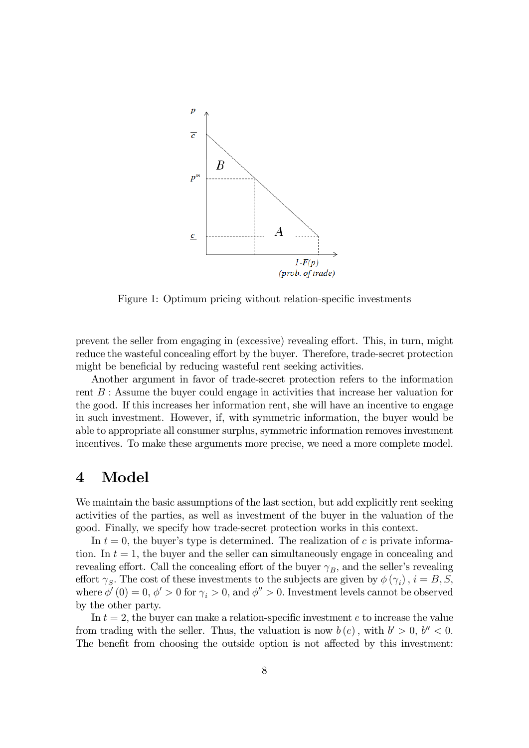

Figure 1: Optimum pricing without relation-specific investments

prevent the seller from engaging in (excessive) revealing effort. This, in turn, might reduce the wasteful concealing effort by the buyer. Therefore, trade-secret protection might be beneficial by reducing wasteful rent seeking activities.

Another argument in favor of trade-secret protection refers to the information rent B : Assume the buyer could engage in activities that increase her valuation for the good. If this increases her information rent, she will have an incentive to engage in such investment. However, if, with symmetric information, the buyer would be able to appropriate all consumer surplus, symmetric information removes investment incentives. To make these arguments more precise, we need a more complete model.

### 4 Model

We maintain the basic assumptions of the last section, but add explicitly rent seeking activities of the parties, as well as investment of the buyer in the valuation of the good. Finally, we specify how trade-secret protection works in this context.

In  $t = 0$ , the buyer's type is determined. The realization of c is private information. In  $t = 1$ , the buyer and the seller can simultaneously engage in concealing and revealing effort. Call the concealing effort of the buyer  $\gamma_B$ , and the seller's revealing effort  $\gamma_S$ . The cost of these investments to the subjects are given by  $\phi(\gamma_i)$ ,  $i = B, S$ , where  $\phi'(0) = 0$ ,  $\phi' > 0$  for  $\gamma_i > 0$ , and  $\phi'' > 0$ . Investment levels cannot be observed by the other party.

In  $t = 2$ , the buyer can make a relation-specific investment e to increase the value from trading with the seller. Thus, the valuation is now  $b(e)$ , with  $b' > 0$ ,  $b'' < 0$ . The benefit from choosing the outside option is not affected by this investment: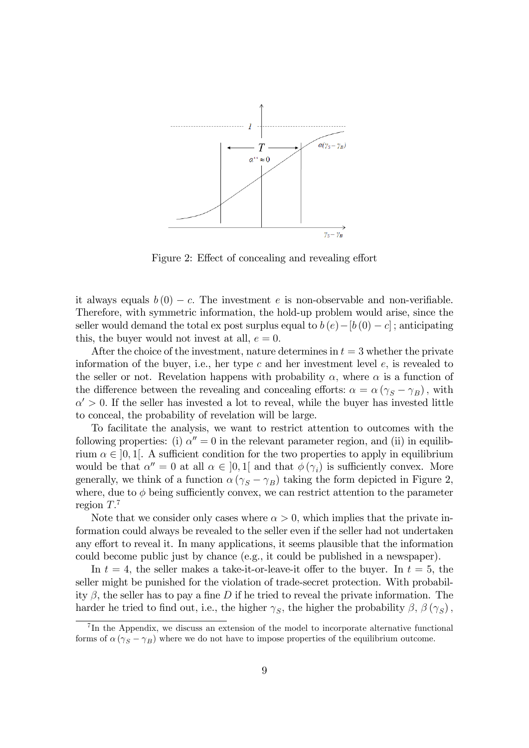

Figure 2: Effect of concealing and revealing effort

it always equals  $b(0) - c$ . The investment e is non-observable and non-verifiable. Therefore, with symmetric information, the hold-up problem would arise, since the seller would demand the total ex post surplus equal to  $b(e) - [b(0) - c]$ ; anticipating this, the buyer would not invest at all,  $e = 0$ .

After the choice of the investment, nature determines in  $t = 3$  whether the private information of the buyer, i.e., her type  $c$  and her investment level  $e$ , is revealed to the seller or not. Revelation happens with probability  $\alpha$ , where  $\alpha$  is a function of the difference between the revealing and concealing efforts:  $\alpha = \alpha (\gamma_S - \gamma_B)$ , with  $\alpha' > 0$ . If the seller has invested a lot to reveal, while the buyer has invested little to conceal, the probability of revelation will be large.

To facilitate the analysis, we want to restrict attention to outcomes with the following properties: (i)  $\alpha'' = 0$  in the relevant parameter region, and (ii) in equilibrium  $\alpha \in ]0,1[$ . A sufficient condition for the two properties to apply in equilibrium would be that  $\alpha'' = 0$  at all  $\alpha \in [0,1]$  and that  $\phi(\gamma_i)$  is sufficiently convex. More generally, we think of a function  $\alpha (\gamma_S - \gamma_B)$  taking the form depicted in Figure 2, where, due to  $\phi$  being sufficiently convex, we can restrict attention to the parameter region  $T<sup>7</sup>$ 

Note that we consider only cases where  $\alpha > 0$ , which implies that the private information could always be revealed to the seller even if the seller had not undertaken any effort to reveal it. In many applications, it seems plausible that the information could become public just by chance (e.g., it could be published in a newspaper).

In  $t = 4$ , the seller makes a take-it-or-leave-it offer to the buyer. In  $t = 5$ , the seller might be punished for the violation of trade-secret protection. With probability  $\beta$ , the seller has to pay a fine D if he tried to reveal the private information. The harder he tried to find out, i.e., the higher  $\gamma_S$ , the higher the probability  $\beta$ ,  $\beta(\gamma_S)$ ,

<sup>&</sup>lt;sup>7</sup>In the Appendix, we discuss an extension of the model to incorporate alternative functional forms of  $\alpha (\gamma_S - \gamma_B)$  where we do not have to impose properties of the equilibrium outcome.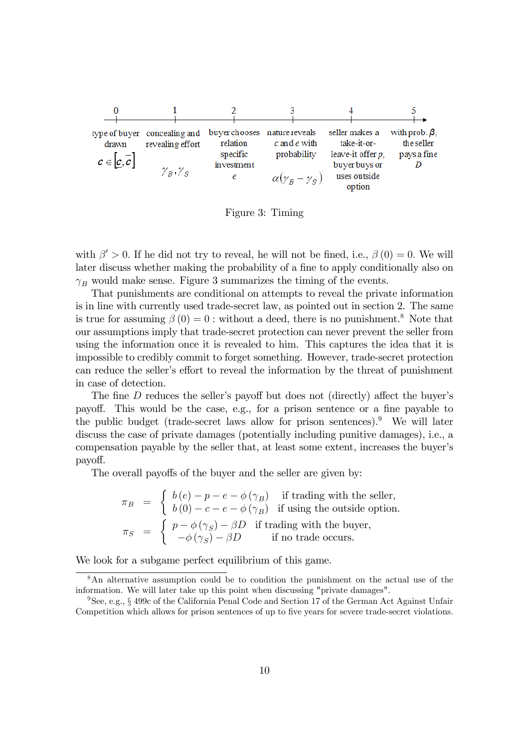

Figure 3: Timing

with  $\beta' > 0$ . If he did not try to reveal, he will not be fined, i.e.,  $\beta(0) = 0$ . We will later discuss whether making the probability of a fine to apply conditionally also on  $\gamma_B$  would make sense. Figure 3 summarizes the timing of the events.

That punishments are conditional on attempts to reveal the private information is in line with currently used trade-secret law, as pointed out in section 2. The same is true for assuming  $\beta(0) = 0$ : without a deed, there is no punishment.<sup>8</sup> Note that our assumptions imply that trade-secret protection can never prevent the seller from using the information once it is revealed to him. This captures the idea that it is impossible to credibly commit to forget something. However, trade-secret protection can reduce the seller's effort to reveal the information by the threat of punishment in case of detection.

The fine D reduces the seller's payoff but does not (directly) affect the buyer's payoff. This would be the case, e.g., for a prison sentence or a fine payable to the public budget (trade-secret laws allow for prison sentences).<sup>9</sup> We will later discuss the case of private damages (potentially including punitive damages), i.e., a compensation payable by the seller that, at least some extent, increases the buyer's payo§.

The overall payoffs of the buyer and the seller are given by:

$$
\pi_B = \begin{cases}\nb(e) - p - e - \phi(\gamma_B) & \text{if trading with the seller,} \\
b(0) - c - e - \phi(\gamma_B) & \text{if using the outside option.} \\
\pi_S = \begin{cases}\np - \phi(\gamma_S) - \beta D & \text{if trading with the buyer,} \\
-\phi(\gamma_S) - \beta D & \text{if no trade occurs.}\n\end{cases}
$$

We look for a subgame perfect equilibrium of this game.

<sup>8</sup>An alternative assumption could be to condition the punishment on the actual use of the information. We will later take up this point when discussing "private damages".

<sup>&</sup>lt;sup>9</sup>See, e.g., § 499c of the California Penal Code and Section 17 of the German Act Against Unfair Competition which allows for prison sentences of up to five years for severe trade-secret violations.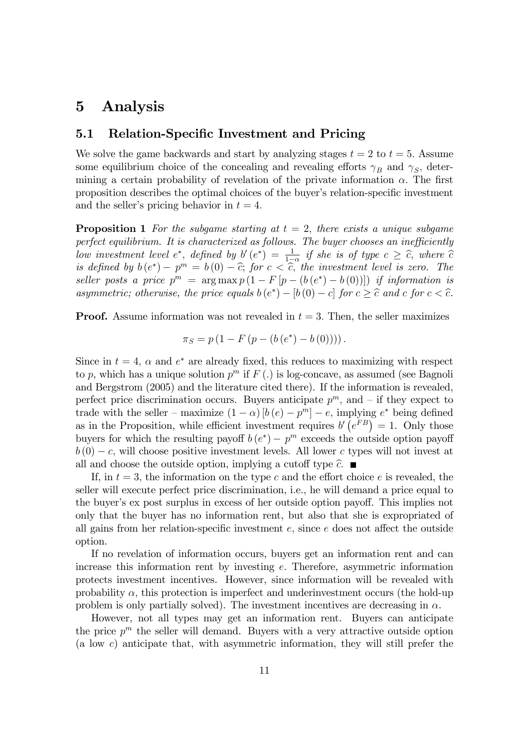### 5 Analysis

### 5.1 Relation-Specific Investment and Pricing

We solve the game backwards and start by analyzing stages  $t = 2$  to  $t = 5$ . Assume some equilibrium choice of the concealing and revealing efforts  $\gamma_B$  and  $\gamma_S$ , determining a certain probability of revelation of the private information  $\alpha$ . The first proposition describes the optimal choices of the buyer's relation-specific investment and the seller's pricing behavior in  $t = 4$ .

**Proposition 1** For the subgame starting at  $t = 2$ , there exists a unique subgame perfect equilibrium. It is characterized as follows. The buyer chooses an inefficiently low investment level  $e^*$ , defined by  $b'(e^*) = \frac{1}{1-\alpha}$  if she is of type  $c \geq \hat{c}$ , where  $\hat{c}$  is defined by  $b(e^*) - p^m = b(0) - \hat{c}$ ; for  $c < \hat{c}$ , the investment level is zero. The seller posts a price  $p^m = \arg \max p(1 - F[p - (b(e^*) - b(0))])$  if information is asymmetric; otherwise, the price equals  $b(e^*) - [b(0) - c]$  for  $c \geq \hat{c}$  and c for  $c < \hat{c}$ .

**Proof.** Assume information was not revealed in  $t = 3$ . Then, the seller maximizes

$$
\pi_S = p(1 - F(p - (b(e^*) - b(0))))
$$

Since in  $t = 4$ ,  $\alpha$  and  $e^*$  are already fixed, this reduces to maximizing with respect to p, which has a unique solution  $p^m$  if  $F(.)$  is log-concave, as assumed (see Bagnoli and Bergstrom (2005) and the literature cited there). If the information is revealed, perfect price discrimination occurs. Buyers anticipate  $p^m$ , and  $-$  if they expect to trade with the seller – maximize  $(1 - \alpha) [b (e) - p<sup>m</sup>] - e$ , implying  $e<sup>*</sup>$  being defined as in the Proposition, while efficient investment requires  $b'(e^{FB}) = 1$ . Only those buyers for which the resulting payoff  $b(e^*) - p^m$  exceeds the outside option payoff  $b(0) - c$ , will choose positive investment levels. All lower c types will not invest at all and choose the outside option, implying a cutoff type  $\hat{c}$ .

If, in  $t = 3$ , the information on the type c and the effort choice e is revealed, the seller will execute perfect price discrimination, i.e., he will demand a price equal to the buyer's ex post surplus in excess of her outside option payoff. This implies not only that the buyer has no information rent, but also that she is expropriated of all gains from her relation-specific investment  $e$ , since  $e$  does not affect the outside option.

If no revelation of information occurs, buyers get an information rent and can increase this information rent by investing  $e$ . Therefore, asymmetric information protects investment incentives. However, since information will be revealed with probability  $\alpha$ , this protection is imperfect and underinvestment occurs (the hold-up problem is only partially solved). The investment incentives are decreasing in  $\alpha$ .

However, not all types may get an information rent. Buyers can anticipate the price  $p^m$  the seller will demand. Buyers with a very attractive outside option (a low c) anticipate that, with asymmetric information, they will still prefer the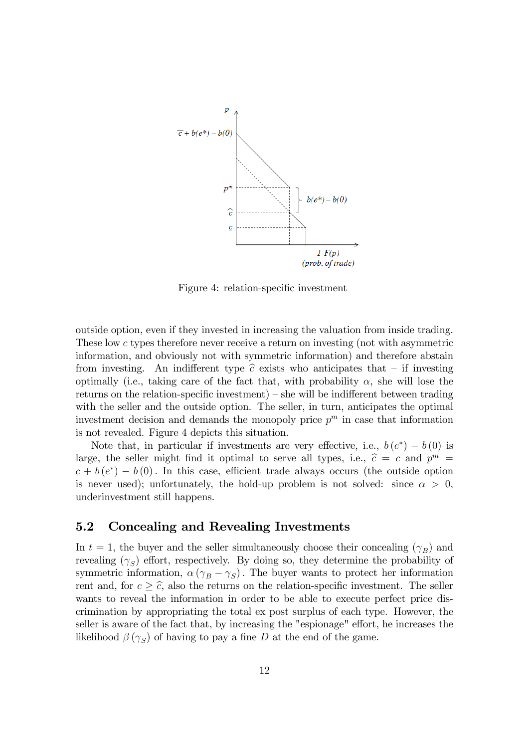

Figure 4: relation-specific investment

outside option, even if they invested in increasing the valuation from inside trading. These low c types therefore never receive a return on investing (not with asymmetric information, and obviously not with symmetric information) and therefore abstain from investing. An indifferent type  $\hat{c}$  exists who anticipates that – if investing optimally (i.e., taking care of the fact that, with probability  $\alpha$ , she will lose the returns on the relation-specific investment)  $-$  she will be indifferent between trading with the seller and the outside option. The seller, in turn, anticipates the optimal investment decision and demands the monopoly price  $p^m$  in case that information is not revealed. Figure 4 depicts this situation.

Note that, in particular if investments are very effective, i.e.,  $b(e^*) - b(0)$  is large, the seller might find it optimal to serve all types, i.e.,  $\hat{c} = c$  and  $p^m =$  $c + b(e^*) - b(0)$ . In this case, efficient trade always occurs (the outside option is never used); unfortunately, the hold-up problem is not solved: since  $\alpha > 0$ , underinvestment still happens.

### 5.2 Concealing and Revealing Investments

In  $t = 1$ , the buyer and the seller simultaneously choose their concealing  $(\gamma_B)$  and revealing  $(\gamma_S)$  effort, respectively. By doing so, they determine the probability of symmetric information,  $\alpha (\gamma_B - \gamma_S)$ . The buyer wants to protect her information rent and, for  $c \geq \hat{c}$ , also the returns on the relation-specific investment. The seller wants to reveal the information in order to be able to execute perfect price discrimination by appropriating the total ex post surplus of each type. However, the seller is aware of the fact that, by increasing the "espionage" effort, he increases the likelihood  $\beta(\gamma_S)$  of having to pay a fine D at the end of the game.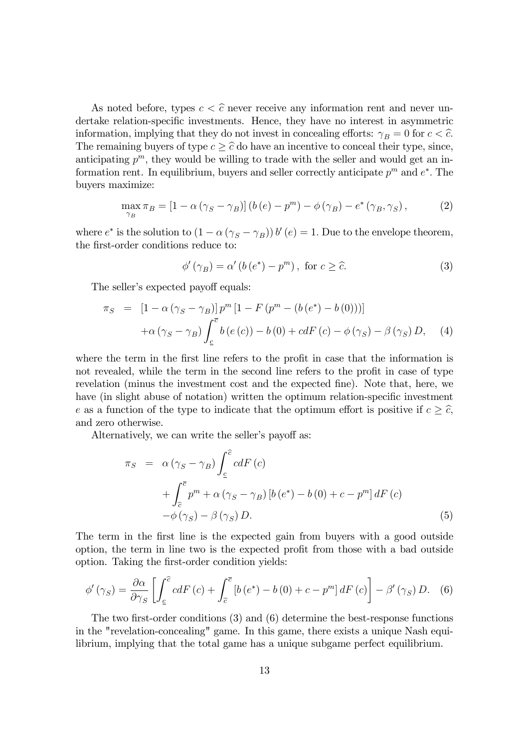As noted before, types  $c < \hat{c}$  never receive any information rent and never undertake relation-specific investments. Hence, they have no interest in asymmetric information, implying that they do not invest in concealing efforts:  $\gamma_B = 0$  for  $c < \hat{c}$ . The remaining buyers of type  $c \geq \hat{c}$  do have an incentive to conceal their type, since, anticipating  $p^m$ , they would be willing to trade with the seller and would get an information rent. In equilibrium, buyers and seller correctly anticipate  $p^m$  and  $e^*$ . The buyers maximize:

$$
\max_{\gamma_B} \pi_B = [1 - \alpha (\gamma_S - \gamma_B)] (b(e) - p^m) - \phi (\gamma_B) - e^* (\gamma_B, \gamma_S), \tag{2}
$$

where  $e^*$  is the solution to  $(1 - \alpha (\gamma_S - \gamma_B)) b'(e) = 1$ . Due to the envelope theorem, the first-order conditions reduce to:

$$
\phi'(\gamma_B) = \alpha' (b(e^*) - p^m), \text{ for } c \ge \hat{c}.
$$
 (3)

The seller's expected payoff equals:

$$
\pi_S = [1 - \alpha (\gamma_S - \gamma_B)] p^m [1 - F (p^m - (b (e^*) - b (0)))]
$$
  
+ 
$$
\alpha (\gamma_S - \gamma_B) \int_{\underline{c}}^{\overline{c}} b (e (c)) - b (0) + c dF (c) - \phi (\gamma_S) - \beta (\gamma_S) D, \quad (4)
$$

where the term in the first line refers to the profit in case that the information is not revealed, while the term in the second line refers to the profit in case of type revelation (minus the investment cost and the expected fine). Note that, here, we have (in slight abuse of notation) written the optimum relation-specific investment e as a function of the type to indicate that the optimum effort is positive if  $c \geq \hat{c}$ , and zero otherwise.

Alternatively, we can write the seller's payoff as:

$$
\pi_{S} = \alpha \left(\gamma_{S} - \gamma_{B}\right) \int_{\underline{c}}^{\widehat{c}} c dF(c) \n+ \int_{\widehat{c}}^{\overline{c}} p^{m} + \alpha \left(\gamma_{S} - \gamma_{B}\right) \left[b\left(e^{*}\right) - b\left(0\right) + c - p^{m}\right] dF(c) \n- \phi \left(\gamma_{S}\right) - \beta \left(\gamma_{S}\right) D.
$$
\n(5)

The term in the first line is the expected gain from buyers with a good outside option, the term in line two is the expected profit from those with a bad outside option. Taking the first-order condition yields:

$$
\phi'(\gamma_S) = \frac{\partial \alpha}{\partial \gamma_S} \left[ \int_{\underline{c}}^{\widehat{c}} c dF(c) + \int_{\widehat{c}}^{\overline{c}} \left[ b\left(e^*\right) - b\left(0\right) + c - p^m \right] dF(c) \right] - \beta'(\gamma_S) D. \tag{6}
$$

The two first-order conditions  $(3)$  and  $(6)$  determine the best-response functions in the "revelation-concealing" game. In this game, there exists a unique Nash equilibrium, implying that the total game has a unique subgame perfect equilibrium.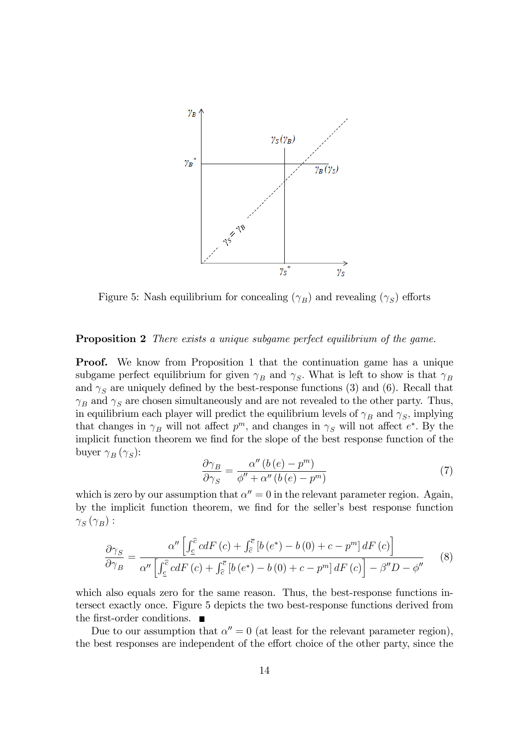

Figure 5: Nash equilibrium for concealing  $(\gamma_B)$  and revealing  $(\gamma_S)$  efforts

#### **Proposition 2** There exists a unique subgame perfect equilibrium of the game.

**Proof.** We know from Proposition 1 that the continuation game has a unique subgame perfect equilibrium for given  $\gamma_B$  and  $\gamma_S$ . What is left to show is that  $\gamma_B$ and  $\gamma_s$  are uniquely defined by the best-response functions (3) and (6). Recall that  $\gamma_B$  and  $\gamma_S$  are chosen simultaneously and are not revealed to the other party. Thus, in equilibrium each player will predict the equilibrium levels of  $\gamma_B$  and  $\gamma_S$ , implying that changes in  $\gamma_B$  will not affect  $p^m$ , and changes in  $\gamma_S$  will not affect  $e^*$ . By the implicit function theorem we find for the slope of the best response function of the buyer  $\gamma_B(\gamma_S)$ :

$$
\frac{\partial \gamma_B}{\partial \gamma_S} = \frac{\alpha'' \left( b \left( e \right) - p^m \right)}{\phi'' + \alpha'' \left( b \left( e \right) - p^m \right)}\tag{7}
$$

which is zero by our assumption that  $\alpha'' = 0$  in the relevant parameter region. Again, by the implicit function theorem, we find for the seller's best response function  $\gamma_{S}\left(\gamma_{B}\right)$  :

$$
\frac{\partial \gamma_S}{\partial \gamma_B} = \frac{\alpha'' \left[ \int_{\underline{c}}^{\widehat{c}} c dF(c) + \int_{\widehat{c}}^{\overline{c}} \left[ b \left( e^* \right) - b \left( 0 \right) + c - p^m \right] dF(c) \right]}{\alpha'' \left[ \int_{\underline{c}}^{\widehat{c}} c dF(c) + \int_{\widehat{c}}^{\overline{c}} \left[ b \left( e^* \right) - b \left( 0 \right) + c - p^m \right] dF(c) \right] - \beta'' D - \phi''}
$$
(8)

which also equals zero for the same reason. Thus, the best-response functions intersect exactly once. Figure 5 depicts the two best-response functions derived from the first-order conditions.  $\blacksquare$ 

Due to our assumption that  $\alpha'' = 0$  (at least for the relevant parameter region), the best responses are independent of the effort choice of the other party, since the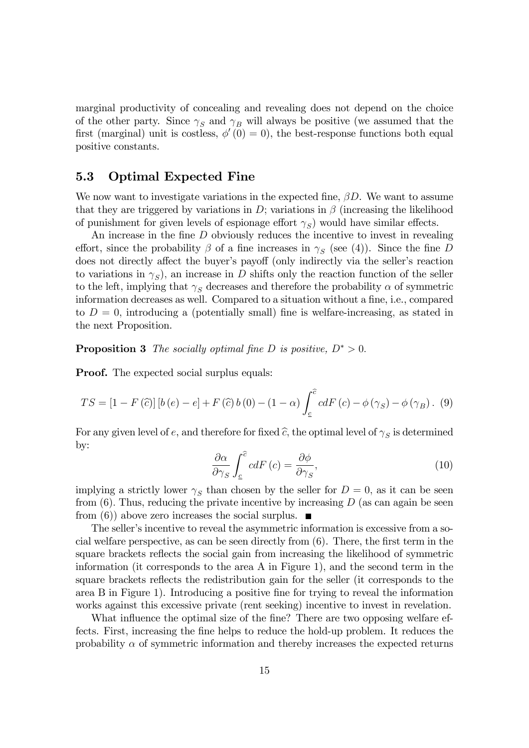marginal productivity of concealing and revealing does not depend on the choice of the other party. Since  $\gamma_s$  and  $\gamma_B$  will always be positive (we assumed that the first (marginal) unit is costless,  $\phi'(0) = 0$ ), the best-response functions both equal positive constants.

### 5.3 Optimal Expected Fine

We now want to investigate variations in the expected fine,  $\beta D$ . We want to assume that they are triggered by variations in D; variations in  $\beta$  (increasing the likelihood of punishment for given levels of espionage effort  $\gamma_S$ ) would have similar effects.

An increase in the fine  $D$  obviously reduces the incentive to invest in revealing effort, since the probability  $\beta$  of a fine increases in  $\gamma_S$  (see (4)). Since the fine D does not directly affect the buyer's payoff (only indirectly via the seller's reaction to variations in  $\gamma_S$ ), an increase in D shifts only the reaction function of the seller to the left, implying that  $\gamma_s$  decreases and therefore the probability  $\alpha$  of symmetric information decreases as well. Compared to a situation without a fine, i.e., compared to  $D = 0$ , introducing a (potentially small) fine is welfare-increasing, as stated in the next Proposition.

**Proposition 3** The socially optimal fine D is positive,  $D^* > 0$ .

**Proof.** The expected social surplus equals:

$$
TS = [1 - F(\widehat{c})] [b(e) - e] + F(\widehat{c}) b(0) - (1 - \alpha) \int_{\underline{c}}^{\widehat{c}} c dF(c) - \phi(\gamma_S) - \phi(\gamma_B). \tag{9}
$$

For any given level of e, and therefore for fixed  $\widehat{c}$ , the optimal level of  $\gamma_S$  is determined by:

$$
\frac{\partial \alpha}{\partial \gamma_S} \int_{\underline{c}}^{\widehat{c}} c dF \left( c \right) = \frac{\partial \phi}{\partial \gamma_S},\tag{10}
$$

implying a strictly lower  $\gamma_S$  than chosen by the seller for  $D=0$ , as it can be seen from  $(6)$ . Thus, reducing the private incentive by increasing D (as can again be seen from (6)) above zero increases the social surplus.  $\blacksquare$ 

The seller's incentive to reveal the asymmetric information is excessive from a social welfare perspective, as can be seen directly from  $(6)$ . There, the first term in the square brackets reflects the social gain from increasing the likelihood of symmetric information (it corresponds to the area A in Figure 1), and the second term in the square brackets reflects the redistribution gain for the seller (it corresponds to the area B in Figure 1). Introducing a positive fine for trying to reveal the information works against this excessive private (rent seeking) incentive to invest in revelation.

What influence the optimal size of the fine? There are two opposing welfare effects. First, increasing the fine helps to reduce the hold-up problem. It reduces the probability  $\alpha$  of symmetric information and thereby increases the expected returns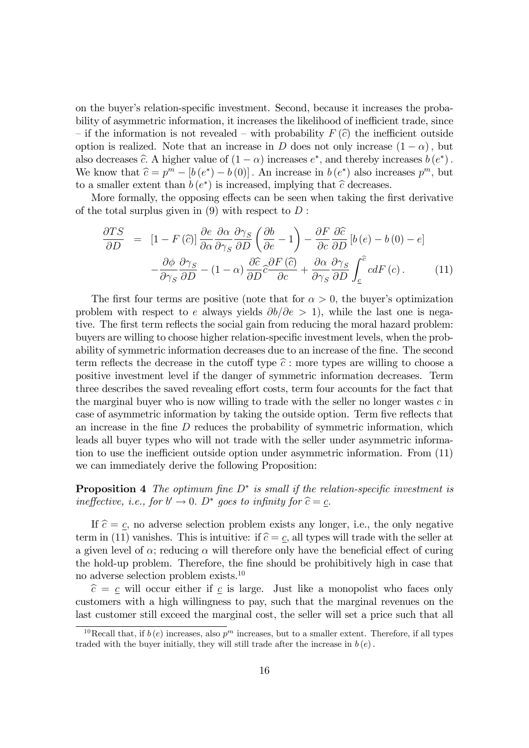on the buyer's relation-specific investment. Second, because it increases the probability of asymmetric information, it increases the likelihood of inefficient trade, since – if the information is not revealed – with probability  $F(\hat{c})$  the inefficient outside option is realized. Note that an increase in D does not only increase  $(1 - \alpha)$ , but also decreases  $\hat{c}$ . A higher value of  $(1 - \alpha)$  increases  $e^*$ , and thereby increases  $b(e^*)$ . We know that  $\hat{c} = p^m - [b(e^*) - b(0)]$ . An increase in  $b(e^*)$  also increases  $p^m$ , but to a smaller extent than  $b(e^*)$  is increased, implying that  $\widehat{c}$  decreases.

More formally, the opposing effects can be seen when taking the first derivative of the total surplus given in  $(9)$  with respect to D :

$$
\frac{\partial TS}{\partial D} = [1 - F(\hat{c})] \frac{\partial e}{\partial \alpha} \frac{\partial \alpha}{\partial \gamma_S} \frac{\partial \gamma_S}{\partial D} \left( \frac{\partial b}{\partial e} - 1 \right) - \frac{\partial F}{\partial c} \frac{\partial \hat{c}}{\partial D} [b(e) - b(0) - e] \n- \frac{\partial \phi}{\partial \gamma_S} \frac{\partial \gamma_S}{\partial D} - (1 - \alpha) \frac{\partial \hat{c}}{\partial D} \hat{c} \frac{\partial F(\hat{c})}{\partial c} + \frac{\partial \alpha}{\partial \gamma_S} \frac{\partial \gamma_S}{\partial D} \int_{\underline{c}}^{\hat{c}} c dF(c).
$$
\n(11)

The first four terms are positive (note that for  $\alpha > 0$ , the buyer's optimization problem with respect to e always yields  $\partial b/\partial e > 1$ , while the last one is negative. The first term reflects the social gain from reducing the moral hazard problem: buyers are willing to choose higher relation-specific investment levels, when the probability of symmetric information decreases due to an increase of the fine. The second term reflects the decrease in the cutoff type  $\hat{c}$ : more types are willing to choose a positive investment level if the danger of symmetric information decreases. Term three describes the saved revealing effort costs, term four accounts for the fact that the marginal buyer who is now willing to trade with the seller no longer wastes  $c$  in case of asymmetric information by taking the outside option. Term five reflects that an increase in the fine  $D$  reduces the probability of symmetric information, which leads all buyer types who will not trade with the seller under asymmetric information to use the inefficient outside option under asymmetric information. From  $(11)$ we can immediately derive the following Proposition:

**Proposition 4** The optimum fine  $D^*$  is small if the relation-specific investment is ineffective, i.e., for  $b' \to 0$ .  $D^*$  goes to infinity for  $\hat{c} = \underline{c}$ .

If  $\hat{c} = c$ , no adverse selection problem exists any longer, i.e., the only negative term in (11) vanishes. This is intuitive: if  $\hat{c} = \underline{c}$ , all types will trade with the seller at a given level of  $\alpha$ ; reducing  $\alpha$  will therefore only have the beneficial effect of curing the hold-up problem. Therefore, the Öne should be prohibitively high in case that no adverse selection problem exists.<sup>10</sup>

 $\hat{c} = c$  will occur either if c is large. Just like a monopolist who faces only customers with a high willingness to pay, such that the marginal revenues on the last customer still exceed the marginal cost, the seller will set a price such that all

<sup>&</sup>lt;sup>10</sup>Recall that, if  $b(e)$  increases, also  $p<sup>m</sup>$  increases, but to a smaller extent. Therefore, if all types traded with the buyer initially, they will still trade after the increase in  $b(e)$ .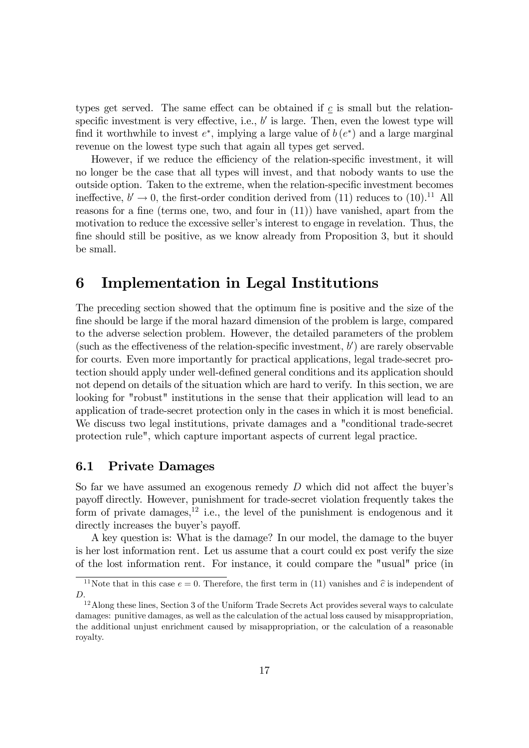types get served. The same effect can be obtained if  $\mathfrak c$  is small but the relationspecific investment is very effective, i.e.,  $b'$  is large. Then, even the lowest type will find it worthwhile to invest  $e^*$ , implying a large value of  $b(e^*)$  and a large marginal revenue on the lowest type such that again all types get served.

However, if we reduce the efficiency of the relation-specific investment, it will no longer be the case that all types will invest, and that nobody wants to use the outside option. Taken to the extreme, when the relation-specific investment becomes ineffective,  $b' \rightarrow 0$ , the first-order condition derived from (11) reduces to (10).<sup>11</sup> All reasons for a fine (terms one, two, and four in  $(11)$ ) have vanished, apart from the motivation to reduce the excessive seller's interest to engage in revelation. Thus, the fine should still be positive, as we know already from Proposition 3, but it should be small.

# 6 Implementation in Legal Institutions

The preceding section showed that the optimum fine is positive and the size of the fine should be large if the moral hazard dimension of the problem is large, compared to the adverse selection problem. However, the detailed parameters of the problem (such as the effectiveness of the relation-specific investment,  $b'$ ) are rarely observable for courts. Even more importantly for practical applications, legal trade-secret protection should apply under well-defined general conditions and its application should not depend on details of the situation which are hard to verify. In this section, we are looking for "robust" institutions in the sense that their application will lead to an application of trade-secret protection only in the cases in which it is most beneficial. We discuss two legal institutions, private damages and a "conditional trade-secret protection rule", which capture important aspects of current legal practice.

### 6.1 Private Damages

So far we have assumed an exogenous remedy  $D$  which did not affect the buyer's payoff directly. However, punishment for trade-secret violation frequently takes the form of private damages,<sup>12</sup> i.e., the level of the punishment is endogenous and it directly increases the buyer's payoff.

A key question is: What is the damage? In our model, the damage to the buyer is her lost information rent. Let us assume that a court could ex post verify the size of the lost information rent. For instance, it could compare the "usual" price (in

<sup>&</sup>lt;sup>11</sup>Note that in this case  $e = 0$ . Therefore, the first term in (11) vanishes and  $\hat{c}$  is independent of D:

<sup>&</sup>lt;sup>12</sup> Along these lines, Section 3 of the Uniform Trade Secrets Act provides several ways to calculate damages: punitive damages, as well as the calculation of the actual loss caused by misappropriation, the additional unjust enrichment caused by misappropriation, or the calculation of a reasonable royalty.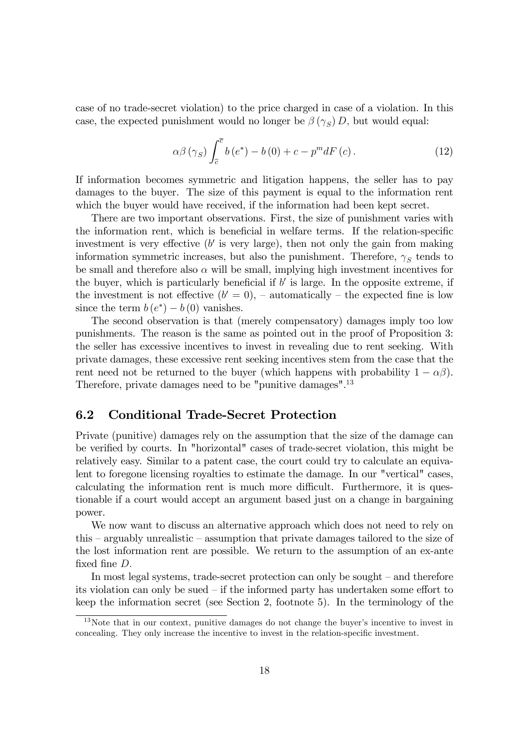case of no trade-secret violation) to the price charged in case of a violation. In this case, the expected punishment would no longer be  $\beta(\gamma_S) D$ , but would equal:

$$
\alpha \beta \left(\gamma_S\right) \int_{\hat{c}}^{\bar{c}} b\left(e^*\right) - b\left(0\right) + c - p^m dF\left(c\right). \tag{12}
$$

If information becomes symmetric and litigation happens, the seller has to pay damages to the buyer. The size of this payment is equal to the information rent which the buyer would have received, if the information had been kept secret.

There are two important observations. First, the size of punishment varies with the information rent, which is beneficial in welfare terms. If the relation-specific investment is very effective  $(b'$  is very large), then not only the gain from making information symmetric increases, but also the punishment. Therefore,  $\gamma_S$  tends to be small and therefore also  $\alpha$  will be small, implying high investment incentives for the buyer, which is particularly beneficial if  $b'$  is large. In the opposite extreme, if the investment is not effective  $(b' = 0)$ ,  $\overline{\phantom{a}}$  automatically  $\overline{\phantom{a}}$  the expected fine is low since the term  $b(e^*) - b(0)$  vanishes.

The second observation is that (merely compensatory) damages imply too low punishments. The reason is the same as pointed out in the proof of Proposition 3: the seller has excessive incentives to invest in revealing due to rent seeking. With private damages, these excessive rent seeking incentives stem from the case that the rent need not be returned to the buyer (which happens with probability  $1 - \alpha \beta$ ). Therefore, private damages need to be "punitive damages".<sup>13</sup>

### 6.2 Conditional Trade-Secret Protection

Private (punitive) damages rely on the assumption that the size of the damage can be verified by courts. In "horizontal" cases of trade-secret violation, this might be relatively easy. Similar to a patent case, the court could try to calculate an equivalent to foregone licensing royalties to estimate the damage. In our "vertical" cases, calculating the information rent is much more difficult. Furthermore, it is questionable if a court would accept an argument based just on a change in bargaining power.

We now want to discuss an alternative approach which does not need to rely on this  $-$  arguably unrealistic  $-$  assumption that private damages tailored to the size of the lost information rent are possible. We return to the assumption of an ex-ante fixed fine  $D$ .

In most legal systems, trade-secret protection can only be sought  $-$  and therefore its violation can only be sued  $\overline{\phantom{a}}$  if the informed party has undertaken some effort to keep the information secret (see Section 2, footnote 5). In the terminology of the

 $13$ Note that in our context, punitive damages do not change the buyer's incentive to invest in concealing. They only increase the incentive to invest in the relation-specific investment.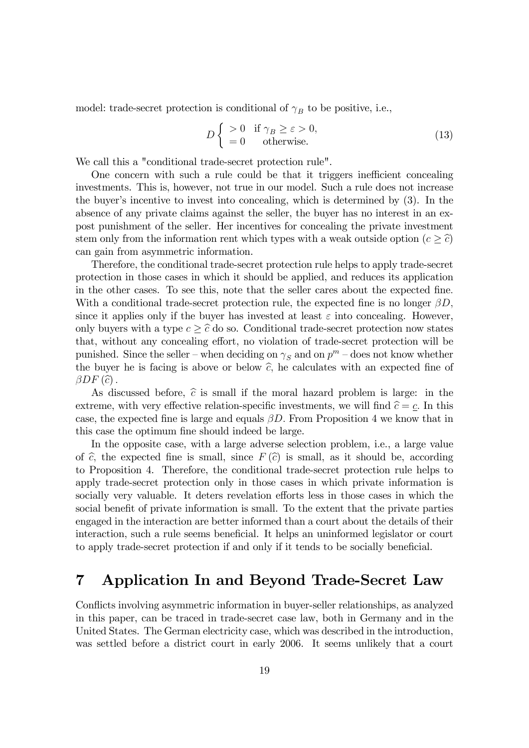model: trade-secret protection is conditional of  $\gamma_B$  to be positive, i.e.,

$$
D\begin{cases} > 0 & \text{if } \gamma_B \ge \varepsilon > 0, \\ = 0 & \text{otherwise.} \end{cases}
$$
 (13)

We call this a "conditional trade-secret protection rule".

One concern with such a rule could be that it triggers inefficient concealing investments. This is, however, not true in our model. Such a rule does not increase the buyer's incentive to invest into concealing, which is determined by  $(3)$ . In the absence of any private claims against the seller, the buyer has no interest in an expost punishment of the seller. Her incentives for concealing the private investment stem only from the information rent which types with a weak outside option  $(c \geq \hat{c})$ can gain from asymmetric information.

Therefore, the conditional trade-secret protection rule helps to apply trade-secret protection in those cases in which it should be applied, and reduces its application in the other cases. To see this, note that the seller cares about the expected fine. With a conditional trade-secret protection rule, the expected fine is no longer  $\beta D$ , since it applies only if the buyer has invested at least  $\varepsilon$  into concealing. However, only buyers with a type  $c \geq \hat{c}$  do so. Conditional trade-secret protection now states that, without any concealing effort, no violation of trade-secret protection will be punished. Since the seller – when deciding on  $\gamma_S$  and on  $p^m$  – does not know whether the buyer he is facing is above or below  $\hat{c}$ , he calculates with an expected fine of  $\beta DF\left( \widehat{c}\right) .$ 

As discussed before,  $\hat{c}$  is small if the moral hazard problem is large: in the extreme, with very effective relation-specific investments, we will find  $\hat{c} = c$ . In this case, the expected fine is large and equals  $\beta D$ . From Proposition 4 we know that in this case the optimum fine should indeed be large.

In the opposite case, with a large adverse selection problem, i.e., a large value of  $\hat{c}$ , the expected fine is small, since  $F(\hat{c})$  is small, as it should be, according to Proposition 4. Therefore, the conditional trade-secret protection rule helps to apply trade-secret protection only in those cases in which private information is socially very valuable. It deters revelation efforts less in those cases in which the social benefit of private information is small. To the extent that the private parties engaged in the interaction are better informed than a court about the details of their interaction, such a rule seems beneficial. It helps an uninformed legislator or court to apply trade-secret protection if and only if it tends to be socially beneficial.

# 7 Application In and Beyond Trade-Secret Law

Conflicts involving asymmetric information in buyer-seller relationships, as analyzed in this paper, can be traced in trade-secret case law, both in Germany and in the United States. The German electricity case, which was described in the introduction, was settled before a district court in early 2006. It seems unlikely that a court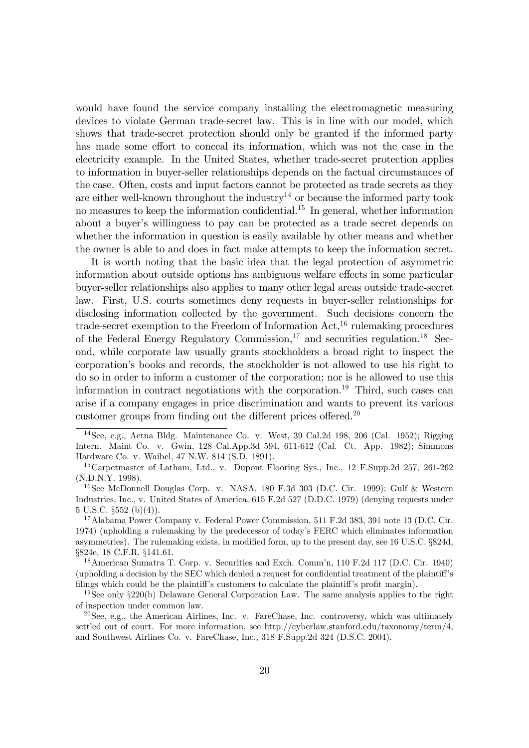would have found the service company installing the electromagnetic measuring devices to violate German trade-secret law. This is in line with our model, which shows that trade-secret protection should only be granted if the informed party has made some effort to conceal its information, which was not the case in the electricity example. In the United States, whether trade-secret protection applies to information in buyer-seller relationships depends on the factual circumstances of the case. Often, costs and input factors cannot be protected as trade secrets as they are either well-known throughout the industry<sup>14</sup> or because the informed party took no measures to keep the information confidential.<sup>15</sup> In general, whether information about a buyer's willingness to pay can be protected as a trade secret depends on whether the information in question is easily available by other means and whether the owner is able to and does in fact make attempts to keep the information secret.

It is worth noting that the basic idea that the legal protection of asymmetric information about outside options has ambiguous welfare effects in some particular buyer-seller relationships also applies to many other legal areas outside trade-secret law. First, U.S. courts sometimes deny requests in buyer-seller relationships for disclosing information collected by the government. Such decisions concern the trade-secret exemption to the Freedom of Information  $Act<sup>16</sup>$ , rulemaking procedures of the Federal Energy Regulatory Commission,<sup>17</sup> and securities regulation.<sup>18</sup> Second, while corporate law usually grants stockholders a broad right to inspect the corporationís books and records, the stockholder is not allowed to use his right to do so in order to inform a customer of the corporation; nor is he allowed to use this information in contract negotiations with the corporation.<sup>19</sup> Third, such cases can arise if a company engages in price discrimination and wants to prevent its various customer groups from finding out the different prices offered.<sup>20</sup>

<sup>&</sup>lt;sup>14</sup>See, e.g., Aetna Bldg. Maintenance Co. v. West, 39 Cal.2d 198, 206 (Cal. 1952); Rigging Intern. Maint Co. v. Gwin, 128 Cal.App.3d 594, 611-612 (Cal. Ct. App. 1982); Simmons Hardware Co. v. Waibel, 47 N.W. 814 (S.D. 1891).

<sup>15</sup>Carpetmaster of Latham, Ltd., v. Dupont Flooring Sys., Inc., 12 F.Supp.2d 257, 261-262 (N.D.N.Y. 1998).

<sup>&</sup>lt;sup>16</sup>See McDonnell Douglas Corp. v. NASA, 180 F.3d 303 (D.C. Cir. 1999); Gulf & Western Industries, Inc., v. United States of America, 615 F.2d 527 (D.D.C. 1979) (denying requests under  $5 \text{ U.S.C. }$   $\S552 \text{ (b)}(4)$ ).

<sup>17</sup>Alabama Power Company v. Federal Power Commission, 511 F.2d 383, 391 note 13 (D.C. Cir. 1974) (upholding a rulemaking by the predecessor of todayís FERC which eliminates information asymmetries). The rulemaking exists, in modified form, up to the present day, see 16 U.S.C. §824d, ß824e, 18 C.F.R. ß141.61.

<sup>&</sup>lt;sup>18</sup> American Sumatra T. Corp. v. Securities and Exch. Comm'n, 110 F.2d 117 (D.C. Cir. 1940) (upholding a decision by the SEC which denied a request for confidential treatment of the plaintiff's filings which could be the plaintiff's customers to calculate the plaintiff's profit margin).

<sup>&</sup>lt;sup>19</sup>See only  $\S 220(b)$  Delaware General Corporation Law. The same analysis applies to the right of inspection under common law.

<sup>&</sup>lt;sup>20</sup>See, e.g., the American Airlines, Inc. v. FareChase, Inc. controversy, which was ultimately settled out of court. For more information, see http://cyberlaw.stanford.edu/taxonomy/term/4, and Southwest Airlines Co. v. FareChase, Inc., 318 F.Supp.2d 324 (D.S.C. 2004).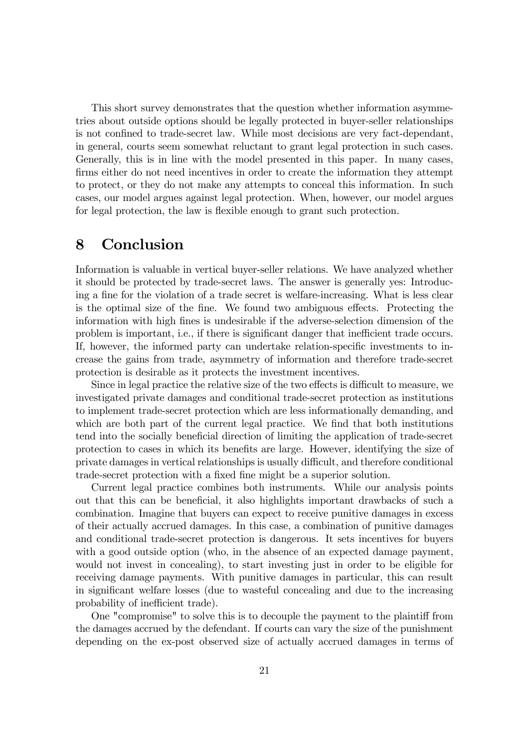This short survey demonstrates that the question whether information asymmetries about outside options should be legally protected in buyer-seller relationships is not confined to trade-secret law. While most decisions are very fact-dependant, in general, courts seem somewhat reluctant to grant legal protection in such cases. Generally, this is in line with the model presented in this paper. In many cases, firms either do not need incentives in order to create the information they attempt to protect, or they do not make any attempts to conceal this information. In such cases, our model argues against legal protection. When, however, our model argues for legal protection, the law is flexible enough to grant such protection.

# 8 Conclusion

Information is valuable in vertical buyer-seller relations. We have analyzed whether it should be protected by trade-secret laws. The answer is generally yes: Introducing a fine for the violation of a trade secret is welfare-increasing. What is less clear is the optimal size of the fine. We found two ambiguous effects. Protecting the information with high Önes is undesirable if the adverse-selection dimension of the problem is important, i.e., if there is significant danger that inefficient trade occurs. If, however, the informed party can undertake relation-specific investments to increase the gains from trade, asymmetry of information and therefore trade-secret protection is desirable as it protects the investment incentives.

Since in legal practice the relative size of the two effects is difficult to measure, we investigated private damages and conditional trade-secret protection as institutions to implement trade-secret protection which are less informationally demanding, and which are both part of the current legal practice. We find that both institutions tend into the socially beneficial direction of limiting the application of trade-secret protection to cases in which its benefits are large. However, identifying the size of private damages in vertical relationships is usually difficult, and therefore conditional trade-secret protection with a fixed fine might be a superior solution.

Current legal practice combines both instruments. While our analysis points out that this can be beneficial, it also highlights important drawbacks of such a combination. Imagine that buyers can expect to receive punitive damages in excess of their actually accrued damages. In this case, a combination of punitive damages and conditional trade-secret protection is dangerous. It sets incentives for buyers with a good outside option (who, in the absence of an expected damage payment, would not invest in concealing), to start investing just in order to be eligible for receiving damage payments. With punitive damages in particular, this can result in significant welfare losses (due to wasteful concealing and due to the increasing probability of inefficient trade).

One "compromise" to solve this is to decouple the payment to the plaintiff from the damages accrued by the defendant. If courts can vary the size of the punishment depending on the ex-post observed size of actually accrued damages in terms of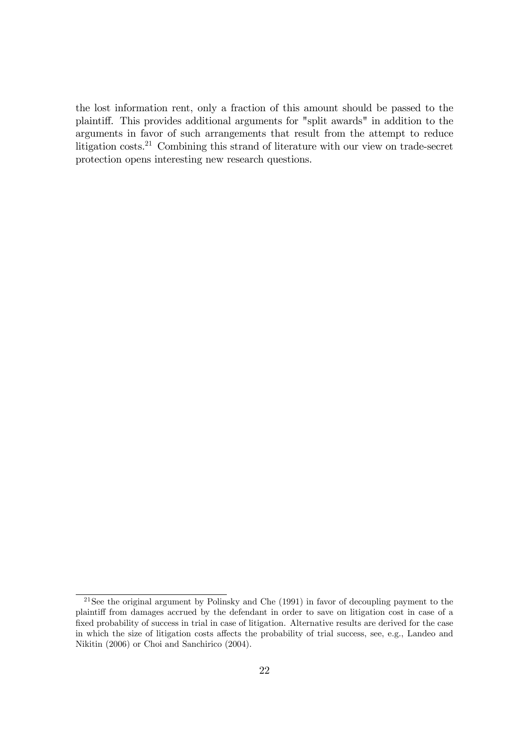the lost information rent, only a fraction of this amount should be passed to the plaintiff. This provides additional arguments for "split awards" in addition to the arguments in favor of such arrangements that result from the attempt to reduce litigation costs.<sup>21</sup> Combining this strand of literature with our view on trade-secret protection opens interesting new research questions.

<sup>&</sup>lt;sup>21</sup>See the original argument by Polinsky and Che (1991) in favor of decoupling payment to the plaintiff from damages accrued by the defendant in order to save on litigation cost in case of a fixed probability of success in trial in case of litigation. Alternative results are derived for the case in which the size of litigation costs affects the probability of trial success, see, e.g., Landeo and Nikitin (2006) or Choi and Sanchirico (2004).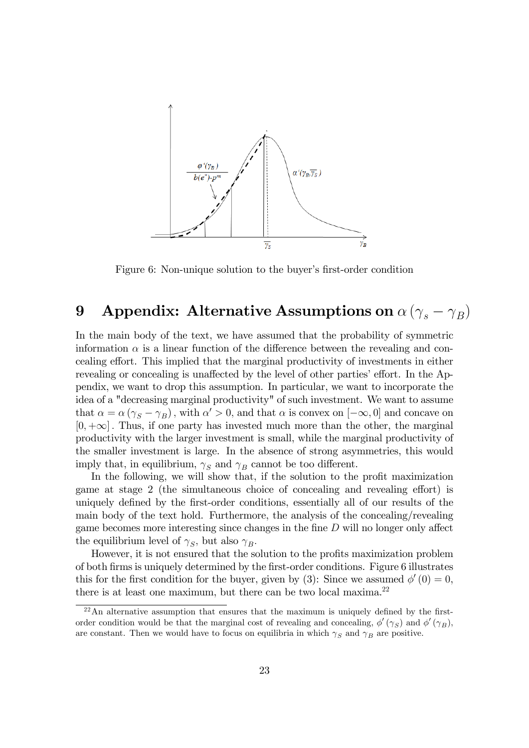

Figure 6: Non-unique solution to the buyer's first-order condition

# 9 Appendix: Alternative Assumptions on  $\alpha \left(\gamma_s-\gamma_B\right)$

In the main body of the text, we have assumed that the probability of symmetric information  $\alpha$  is a linear function of the difference between the revealing and concealing effort. This implied that the marginal productivity of investments in either revealing or concealing is unaffected by the level of other parties' effort. In the Appendix, we want to drop this assumption. In particular, we want to incorporate the idea of a "decreasing marginal productivity" of such investment. We want to assume that  $\alpha = \alpha (\gamma_S - \gamma_B)$ , with  $\alpha' > 0$ , and that  $\alpha$  is convex on  $[-\infty, 0]$  and concave on  $[0, +\infty]$ . Thus, if one party has invested much more than the other, the marginal productivity with the larger investment is small, while the marginal productivity of the smaller investment is large. In the absence of strong asymmetries, this would imply that, in equilibrium,  $\gamma_S$  and  $\gamma_B$  cannot be too different.

In the following, we will show that, if the solution to the profit maximization game at stage 2 (the simultaneous choice of concealing and revealing effort) is uniquely defined by the first-order conditions, essentially all of our results of the main body of the text hold. Furthermore, the analysis of the concealing/revealing game becomes more interesting since changes in the fine  $D$  will no longer only affect the equilibrium level of  $\gamma_S$ , but also  $\gamma_B$ .

However, it is not ensured that the solution to the profits maximization problem of both Örms is uniquely determined by the Örst-order conditions. Figure 6 illustrates this for the first condition for the buyer, given by (3): Since we assumed  $\phi'(0) = 0$ , there is at least one maximum, but there can be two local maxima.<sup>22</sup>

 $^{22}$ An alternative assumption that ensures that the maximum is uniquely defined by the firstorder condition would be that the marginal cost of revealing and concealing,  $\phi'(\gamma_S)$  and  $\phi'(\gamma_B)$ , are constant. Then we would have to focus on equilibria in which  $\gamma_S$  and  $\gamma_B$  are positive.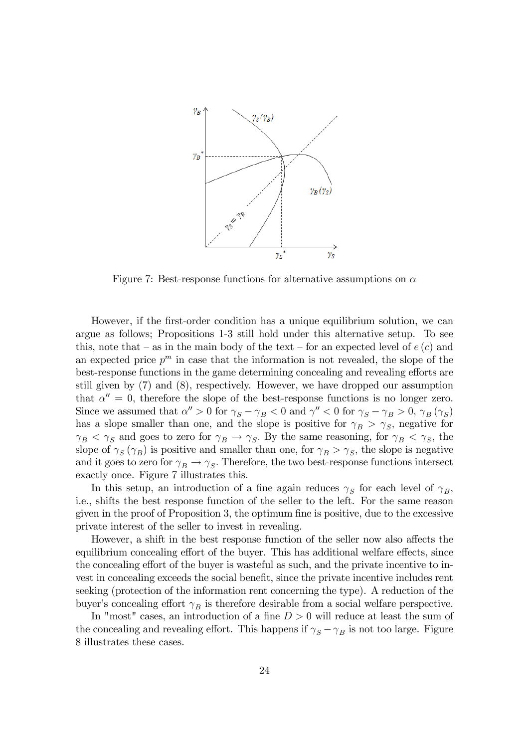

Figure 7: Best-response functions for alternative assumptions on  $\alpha$ 

However, if the first-order condition has a unique equilibrium solution, we can argue as follows; Propositions 1-3 still hold under this alternative setup. To see this, note that  $-\infty$  in the main body of the text  $-\infty$  for an expected level of  $e(c)$  and an expected price  $p^m$  in case that the information is not revealed, the slope of the best-response functions in the game determining concealing and revealing efforts are still given by (7) and (8), respectively. However, we have dropped our assumption that  $\alpha'' = 0$ , therefore the slope of the best-response functions is no longer zero. Since we assumed that  $\alpha'' > 0$  for  $\gamma_S - \gamma_B < 0$  and  $\gamma'' < 0$  for  $\gamma_S - \gamma_B > 0$ ,  $\gamma_B(\gamma_S)$ has a slope smaller than one, and the slope is positive for  $\gamma_B > \gamma_S$ , negative for  $\gamma_B < \gamma_S$  and goes to zero for  $\gamma_B \to \gamma_S$ . By the same reasoning, for  $\gamma_B < \gamma_S$ , the slope of  $\gamma_S(\gamma_B)$  is positive and smaller than one, for  $\gamma_B > \gamma_S$ , the slope is negative and it goes to zero for  $\gamma_B \to \gamma_S$ . Therefore, the two best-response functions intersect exactly once. Figure 7 illustrates this.

In this setup, an introduction of a fine again reduces  $\gamma_S$  for each level of  $\gamma_B$ , i.e., shifts the best response function of the seller to the left. For the same reason given in the proof of Proposition 3, the optimum fine is positive, due to the excessive private interest of the seller to invest in revealing.

However, a shift in the best response function of the seller now also affects the equilibrium concealing effort of the buyer. This has additional welfare effects, since the concealing effort of the buyer is wasteful as such, and the private incentive to invest in concealing exceeds the social benefit, since the private incentive includes rent seeking (protection of the information rent concerning the type). A reduction of the buyer's concealing effort  $\gamma_B$  is therefore desirable from a social welfare perspective.

In "most" cases, an introduction of a fine  $D > 0$  will reduce at least the sum of the concealing and revealing effort. This happens if  $\gamma_S - \gamma_B$  is not too large. Figure 8 illustrates these cases.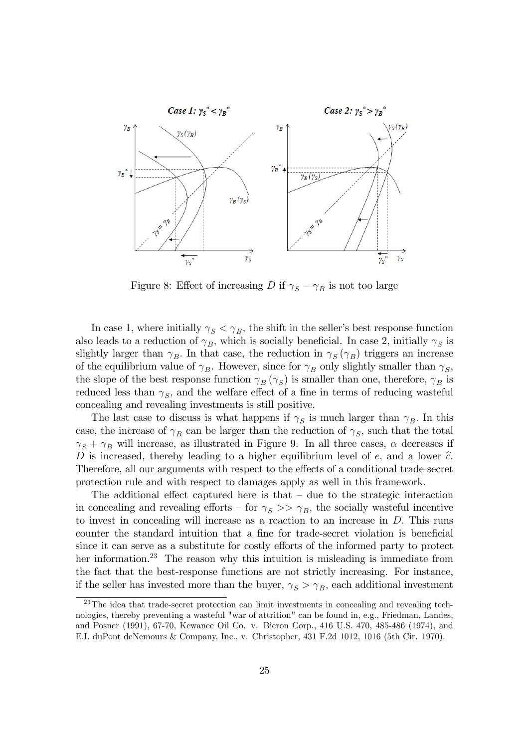

Figure 8: Effect of increasing D if  $\gamma_S - \gamma_B$  is not too large

In case 1, where initially  $\gamma_S < \gamma_B$ , the shift in the seller's best response function also leads to a reduction of  $\gamma_B$ , which is socially beneficial. In case 2, initially  $\gamma_S$  is slightly larger than  $\gamma_B$ . In that case, the reduction in  $\gamma_S(\gamma_B)$  triggers an increase of the equilibrium value of  $\gamma_B$ . However, since for  $\gamma_B$  only slightly smaller than  $\gamma_S$ , the slope of the best response function  $\gamma_B(\gamma_S)$  is smaller than one, therefore,  $\gamma_B$  is reduced less than  $\gamma_S$ , and the welfare effect of a fine in terms of reducing wasteful concealing and revealing investments is still positive.

The last case to discuss is what happens if  $\gamma_S$  is much larger than  $\gamma_B$ . In this case, the increase of  $\gamma_B$  can be larger than the reduction of  $\gamma_S$ , such that the total  $\gamma_S + \gamma_B$  will increase, as illustrated in Figure 9. In all three cases,  $\alpha$  decreases if D is increased, thereby leading to a higher equilibrium level of  $e$ , and a lower  $\hat{c}$ . Therefore, all our arguments with respect to the effects of a conditional trade-secret protection rule and with respect to damages apply as well in this framework.

The additional effect captured here is that  $-$  due to the strategic interaction in concealing and revealing efforts – for  $\gamma_S >> \gamma_B$ , the socially wasteful incentive to invest in concealing will increase as a reaction to an increase in D: This runs counter the standard intuition that a fine for trade-secret violation is beneficial since it can serve as a substitute for costly efforts of the informed party to protect her information.<sup>23</sup> The reason why this intuition is misleading is immediate from the fact that the best-response functions are not strictly increasing. For instance, if the seller has invested more than the buyer,  $\gamma_S > \gamma_B$ , each additional investment

 $23$ The idea that trade-secret protection can limit investments in concealing and revealing technologies, thereby preventing a wasteful "war of attrition" can be found in, e.g., Friedman, Landes, and Posner (1991), 67-70, Kewanee Oil Co. v. Bicron Corp., 416 U.S. 470, 485-486 (1974), and E.I. duPont deNemours & Company, Inc., v. Christopher, 431 F.2d 1012, 1016 (5th Cir. 1970).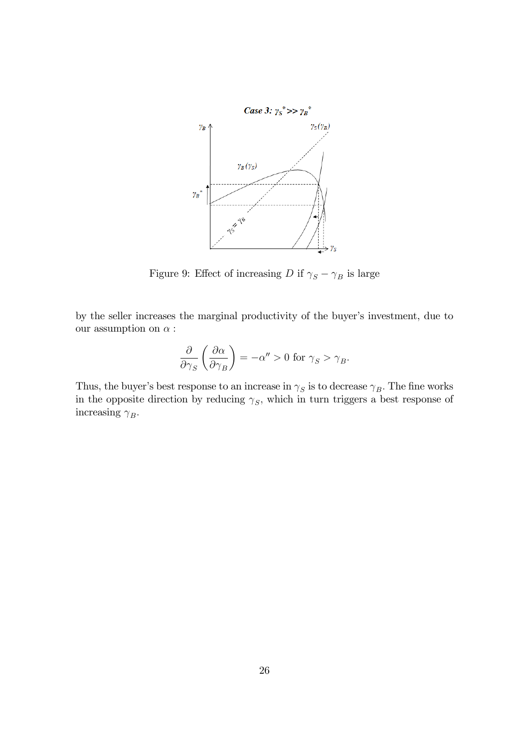

Figure 9: Effect of increasing  $D$  if  $\gamma_S-\gamma_B$  is large

by the seller increases the marginal productivity of the buyer's investment, due to our assumption on  $\alpha$ :

$$
\frac{\partial}{\partial \gamma_S} \left( \frac{\partial \alpha}{\partial \gamma_B} \right) = -\alpha'' > 0 \text{ for } \gamma_S > \gamma_B.
$$

Thus, the buyer's best response to an increase in  $\gamma_S$  is to decrease  $\gamma_B$ . The fine works in the opposite direction by reducing  $\gamma_S$ , which in turn triggers a best response of increasing  $\gamma_B$ .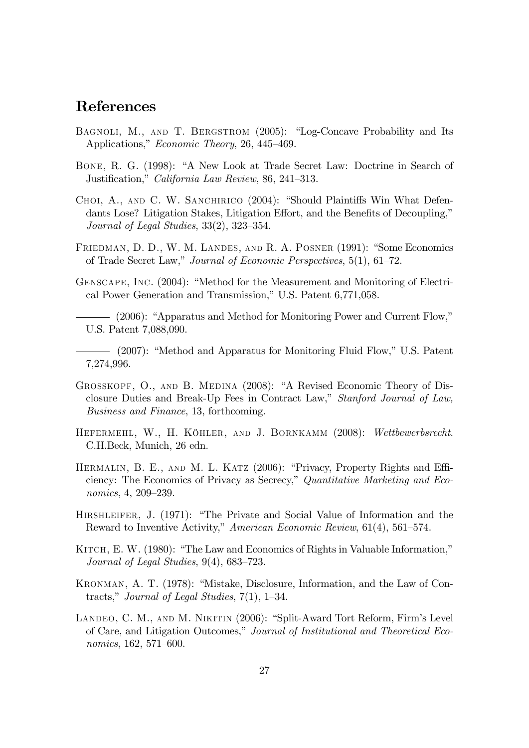# References

- BAGNOLI, M., AND T. BERGSTROM (2005): "Log-Concave Probability and Its Applications," Economic Theory, 26, 445–469.
- BONE, R. G. (1998): "A New Look at Trade Secret Law: Doctrine in Search of Justification," California Law Review, 86, 241–313.
- CHOI, A., AND C. W. SANCHIRICO (2004): "Should Plaintiffs Win What Defendants Lose? Litigation Stakes, Litigation Effort, and the Benefits of Decoupling," Journal of Legal Studies,  $33(2)$ ,  $323-354$ .
- FRIEDMAN, D. D., W. M. LANDES, AND R. A. POSNER (1991): "Some Economics of Trade Secret Law," Journal of Economic Perspectives,  $5(1)$ ,  $61-72$ .
- GENSCAPE, INC. (2004): "Method for the Measurement and Monitoring of Electrical Power Generation and Transmission," U.S. Patent 6,771,058.
- $-$  (2006): "Apparatus and Method for Monitoring Power and Current Flow," U.S. Patent 7,088,090.
- (2007): "Method and Apparatus for Monitoring Fluid Flow," U.S. Patent 7,274,996.
- GROSSKOPF, O., AND B. MEDINA (2008): "A Revised Economic Theory of Disclosure Duties and Break-Up Fees in Contract Law," Stanford Journal of Law, Business and Finance, 13, forthcoming.
- HEFERMEHL, W., H. KÖHLER, AND J. BORNKAMM (2008): Wettbewerbsrecht. C.H.Beck, Munich, 26 edn.
- HERMALIN, B. E., AND M. L. KATZ (2006): "Privacy, Property Rights and Efficiency: The Economics of Privacy as Secrecy," Quantitative Marketing and Economics, 4, 209-239.
- HIRSHLEIFER, J. (1971): "The Private and Social Value of Information and the Reward to Inventive Activity," American Economic Review, 61(4), 561–574.
- KITCH, E. W. (1980): "The Law and Economics of Rights in Valuable Information," Journal of Legal Studies,  $9(4)$ , 683–723.
- KRONMAN, A. T. (1978): "Mistake, Disclosure, Information, and the Law of Contracts," Journal of Legal Studies,  $7(1)$ , 1–34.
- LANDEO, C. M., AND M. NIKITIN (2006): "Split-Award Tort Reform, Firm's Level of Care, and Litigation Outcomes," Journal of Institutional and Theoretical Economics,  $162, 571-600$ .